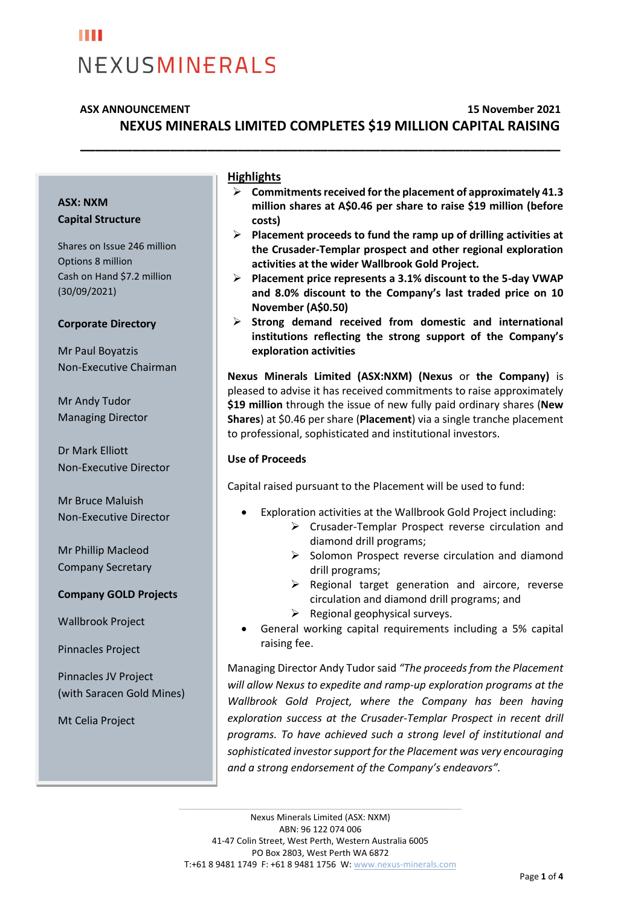### H H NEXUSMINERALS

### **ASX ANNOUNCEMENT 15 November 2021 NEXUS MINERALS LIMITED COMPLETES \$19 MILLION CAPITAL RAISING**

**\_\_\_\_\_\_\_\_\_\_\_\_\_\_\_\_\_\_\_\_\_\_\_\_\_\_\_\_\_\_\_\_\_\_\_\_\_\_\_\_\_\_\_\_\_\_\_\_\_\_\_\_\_\_\_\_\_\_\_\_\_\_\_\_**

#### **ASX: NXM Capital Structure**

Shares on Issue 246 million Options 8 million Cash on Hand \$7.2 million (30/09/2021)

#### **Corporate Directory**

Mr Paul Boyatzis Non-Executive Chairman

Mr Andy Tudor Managing Director

Dr Mark Elliott Non-Executive Director

Mr Bruce Maluish Non-Executive Director

Mr Phillip Macleod Company Secretary

#### **Company GOLD Projects**

Wallbrook Project

Pinnacles Project

Pinnacles JV Project (with Saracen Gold Mines)

Mt Celia Project

#### **Highlights**

- ➢ **Commitments received for the placement of approximately 41.3 million shares at A\$0.46 per share to raise \$19 million (before costs)**
- ➢ **Placement proceeds to fund the ramp up of drilling activities at the Crusader-Templar prospect and other regional exploration activities at the wider Wallbrook Gold Project.**
- ➢ **Placement price represents a 3.1% discount to the 5-day VWAP and 8.0% discount to the Company's last traded price on 10 November (A\$0.50)**
- ➢ **Strong demand received from domestic and international institutions reflecting the strong support of the Company's exploration activities**

**Nexus Minerals Limited (ASX:NXM) (Nexus** or **the Company)** is pleased to advise it has received commitments to raise approximately **\$19 million** through the issue of new fully paid ordinary shares (**New Shares**) at \$0.46 per share (**Placement**) via a single tranche placement to professional, sophisticated and institutional investors.

#### **Use of Proceeds**

Capital raised pursuant to the Placement will be used to fund:

- Exploration activities at the Wallbrook Gold Project including:
	- ➢ Crusader-Templar Prospect reverse circulation and diamond drill programs;
	- ➢ Solomon Prospect reverse circulation and diamond drill programs;
	- $\triangleright$  Regional target generation and aircore, reverse circulation and diamond drill programs; and
	- $\triangleright$  Regional geophysical surveys.
- General working capital requirements including a 5% capital raising fee.

Managing Director Andy Tudor said *"The proceeds from the Placement will allow Nexus to expedite and ramp-up exploration programs at the Wallbrook Gold Project, where the Company has been having exploration success at the Crusader-Templar Prospect in recent drill programs. To have achieved such a strong level of institutional and sophisticated investor support for the Placement was very encouraging and a strong endorsement of the Company's endeavors".*

\_\_\_\_\_\_\_\_\_\_\_\_\_\_\_\_\_\_\_\_\_\_\_\_\_\_\_\_\_\_\_\_\_\_\_\_\_\_\_\_\_\_\_\_\_\_\_\_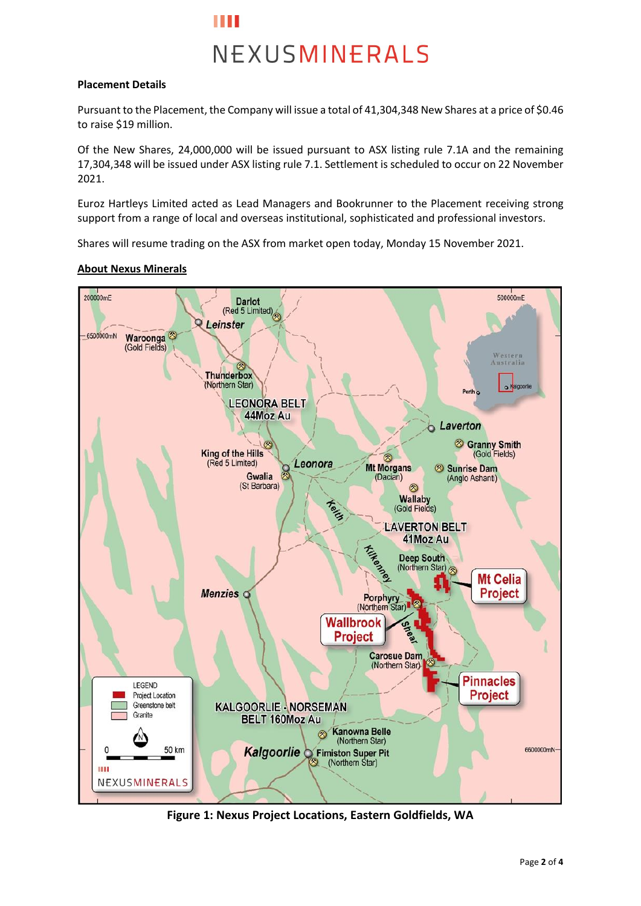

#### **Placement Details**

Pursuant to the Placement, the Company will issue a total of 41,304,348 New Shares at a price of \$0.46 to raise \$19 million.

Of the New Shares, 24,000,000 will be issued pursuant to ASX listing rule 7.1A and the remaining 17,304,348 will be issued under ASX listing rule 7.1. Settlement is scheduled to occur on 22 November 2021.

Euroz Hartleys Limited acted as Lead Managers and Bookrunner to the Placement receiving strong support from a range of local and overseas institutional, sophisticated and professional investors.

Shares will resume trading on the ASX from market open today, Monday 15 November 2021.

#### **About Nexus Minerals**



**Figure 1: Nexus Project Locations, Eastern Goldfields, WA**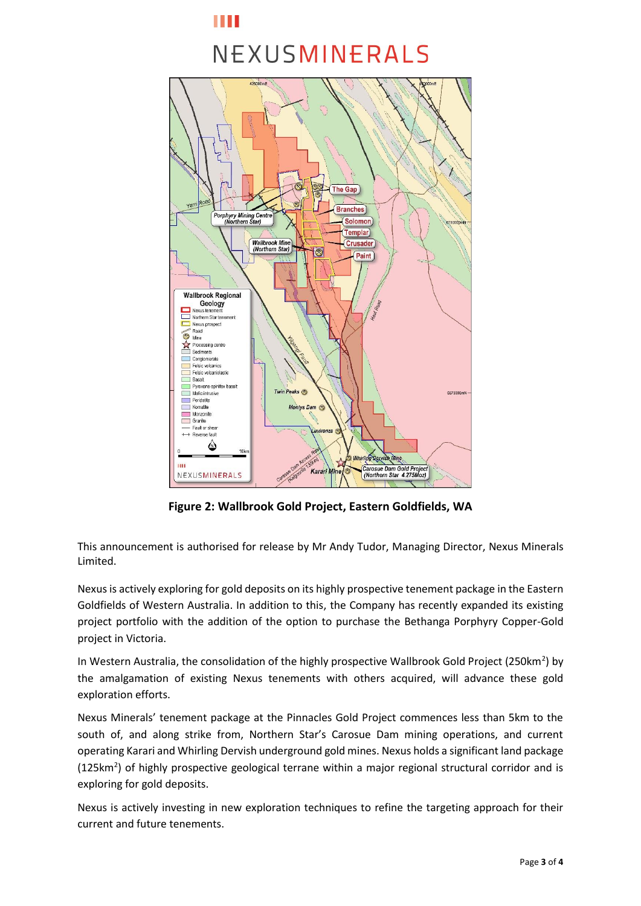### Ш

## NEXUSMINERALS



**Figure 2: Wallbrook Gold Project, Eastern Goldfields, WA**

This announcement is authorised for release by Mr Andy Tudor, Managing Director, Nexus Minerals Limited.

Nexus is actively exploring for gold deposits on its highly prospective tenement package in the Eastern Goldfields of Western Australia. In addition to this, the Company has recently expanded its existing project portfolio with the addition of the option to purchase the Bethanga Porphyry Copper-Gold project in Victoria.

In Western Australia, the consolidation of the highly prospective Wallbrook Gold Project (250km<sup>2</sup>) by the amalgamation of existing Nexus tenements with others acquired, will advance these gold exploration efforts.

Nexus Minerals' tenement package at the Pinnacles Gold Project commences less than 5km to the south of, and along strike from, Northern Star's Carosue Dam mining operations, and current operating Karari and Whirling Dervish underground gold mines. Nexus holds a significant land package  $(125km<sup>2</sup>)$  of highly prospective geological terrane within a major regional structural corridor and is exploring for gold deposits.

Nexus is actively investing in new exploration techniques to refine the targeting approach for their current and future tenements.